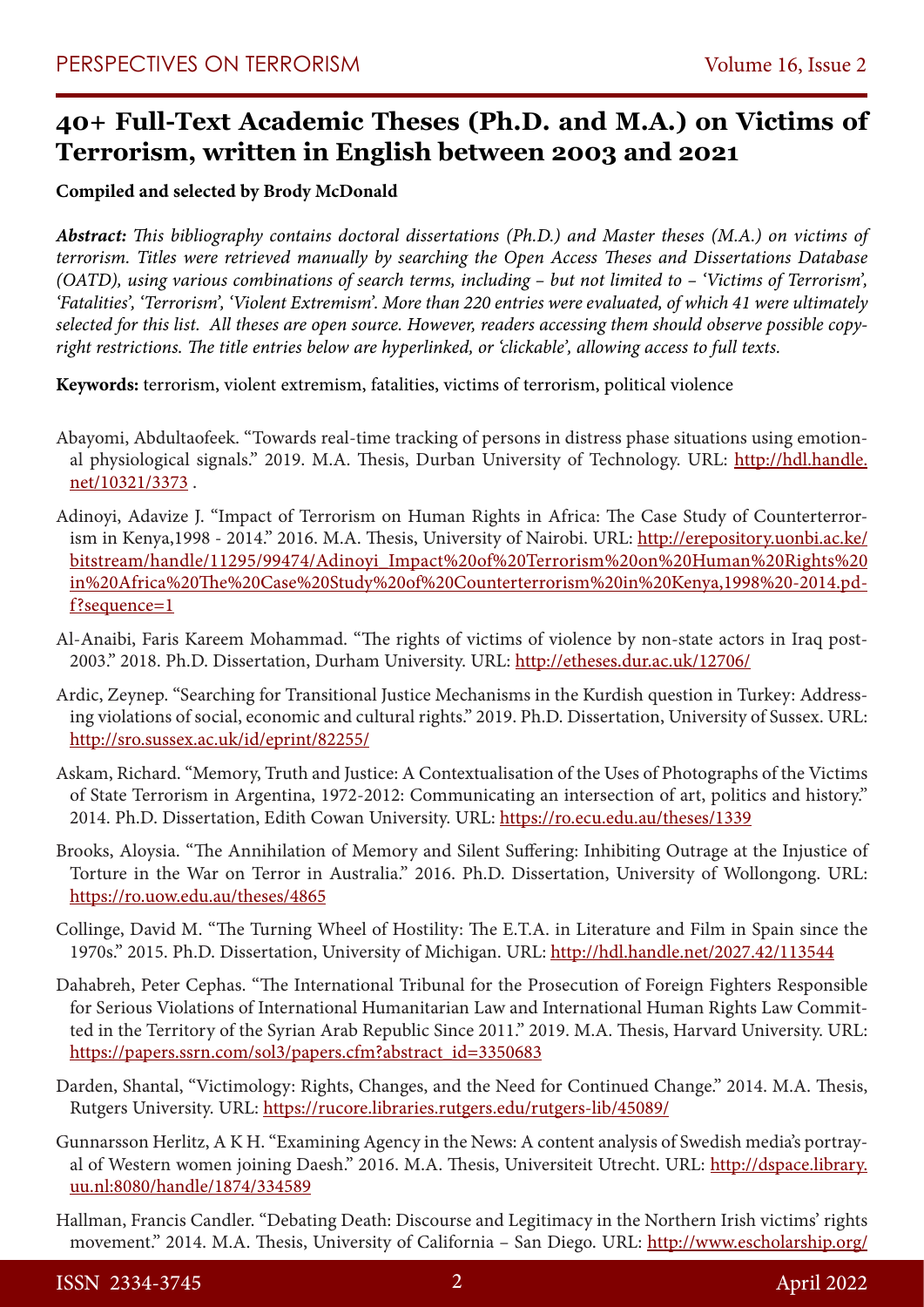## **40+ Full-Text Academic Theses (Ph.D. and M.A.) on Victims of Terrorism, written in English between 2003 and 2021**

## **Compiled and selected by Brody McDonald**

*Abstract: This bibliography contains doctoral dissertations (Ph.D.) and Master theses (M.A.) on victims of terrorism. Titles were retrieved manually by searching the Open Access Theses and Dissertations Database (OATD), using various combinations of search terms, including – but not limited to – 'Victims of Terrorism', 'Fatalities', 'Terrorism', 'Violent Extremism'. More than 220 entries were evaluated, of which 41 were ultimately selected for this list. All theses are open source. However, readers accessing them should observe possible copyright restrictions. The title entries below are hyperlinked, or 'clickable', allowing access to full texts.* 

**Keywords:** terrorism, violent extremism, fatalities, victims of terrorism, political violence

- Abayomi, Abdultaofeek. "Towards real-time tracking of persons in distress phase situations using emotional physiological signals." 2019. M.A. Thesis, Durban University of Technology. URL: http://hdl.handle. net/10321/3373 .
- Adinoyi, Adavize J. "Impact of Terrorism on Human Rights in Africa: The Case Study of Counterterrorism in Kenya, 1998 - 2014." 2016. M.A. Thesis, University of Nairobi. URL: http://erepository.uonbi.ac.ke/ bitstream/handle/11295/99474/Adinoyi\_Impact%20of%20Terrorism%20on%20Human%20Rights%20 in%20Africa%20The%20Case%20Study%20of%20Counterterrorism%20in%20Kenya,1998%20-2014.pdf?sequence=1
- Al-Anaibi, Faris Kareem Mohammad. "The rights of victims of violence by non-state actors in Iraq post-2003." 2018. Ph.D. Dissertation, Durham University. URL: http://etheses.dur.ac.uk/12706/
- Ardic, Zeynep. "Searching for Transitional Justice Mechanisms in the Kurdish question in Turkey: Addressing violations of social, economic and cultural rights." 2019. Ph.D. Dissertation, University of Sussex. URL: http://sro.sussex.ac.uk/id/eprint/82255/
- Askam, Richard. "Memory, Truth and Justice: A Contextualisation of the Uses of Photographs of the Victims of State Terrorism in Argentina, 1972-2012: Communicating an intersection of art, politics and history." 2014. Ph.D. Dissertation, Edith Cowan University. URL: https://ro.ecu.edu.au/theses/1339
- Brooks, Aloysia. "The Annihilation of Memory and Silent Suffering: Inhibiting Outrage at the Injustice of Torture in the War on Terror in Australia." 2016. Ph.D. Dissertation, University of Wollongong. URL: https://ro.uow.edu.au/theses/4865
- Collinge, David M. "The Turning Wheel of Hostility: The E.T.A. in Literature and Film in Spain since the 1970s." 2015. Ph.D. Dissertation, University of Michigan. URL: http://hdl.handle.net/2027.42/113544
- Dahabreh, Peter Cephas. "The International Tribunal for the Prosecution of Foreign Fighters Responsible for Serious Violations of International Humanitarian Law and International Human Rights Law Committed in the Territory of the Syrian Arab Republic Since 2011." 2019. M.A. Thesis, Harvard University. URL: https://papers.ssrn.com/sol3/papers.cfm?abstract\_id=3350683
- Darden, Shantal, "Victimology: Rights, Changes, and the Need for Continued Change." 2014. M.A. Thesis, Rutgers University. URL: https://rucore.libraries.rutgers.edu/rutgers-lib/45089/
- Gunnarsson Herlitz, A K H. "Examining Agency in the News: A content analysis of Swedish media's portrayal of Western women joining Daesh." 2016. M.A. Thesis, Universiteit Utrecht. URL: http://dspace.library. uu.nl:8080/handle/1874/334589
- Hallman, Francis Candler. "Debating Death: Discourse and Legitimacy in the Northern Irish victims' rights movement." 2014. M.A. Thesis, University of California – San Diego. URL: http://www.escholarship.org/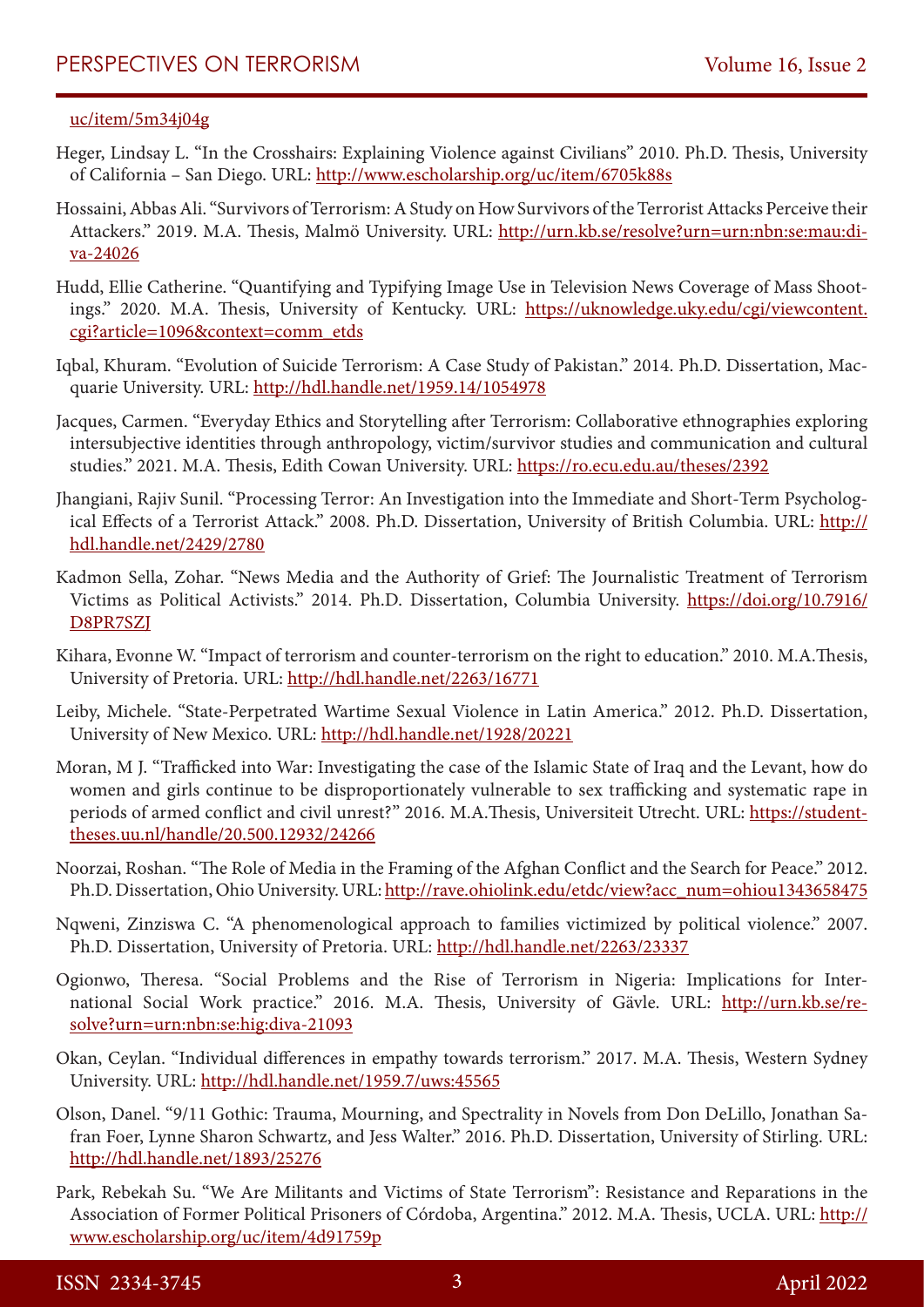## uc/item/5m34j04g

- Heger, Lindsay L. "In the Crosshairs: Explaining Violence against Civilians" 2010. Ph.D. Thesis, University of California – San Diego. URL: http://www.escholarship.org/uc/item/6705k88s
- Hossaini, Abbas Ali. "Survivors of Terrorism: A Study on How Survivors of the Terrorist Attacks Perceive their Attackers." 2019. M.A. Thesis, Malmö University. URL: http://urn.kb.se/resolve?urn=urn:nbn:se:mau:diva-24026
- Hudd, Ellie Catherine. "Quantifying and Typifying Image Use in Television News Coverage of Mass Shootings." 2020. M.A. Thesis, University of Kentucky. URL: https://uknowledge.uky.edu/cgi/viewcontent. cgi?article=1096&context=comm\_etds
- Iqbal, Khuram. "Evolution of Suicide Terrorism: A Case Study of Pakistan." 2014. Ph.D. Dissertation, Macquarie University. URL: http://hdl.handle.net/1959.14/1054978
- Jacques, Carmen. "Everyday Ethics and Storytelling after Terrorism: Collaborative ethnographies exploring intersubjective identities through anthropology, victim/survivor studies and communication and cultural studies." 2021. M.A. Thesis, Edith Cowan University. URL: https://ro.ecu.edu.au/theses/2392
- Jhangiani, Rajiv Sunil. "Processing Terror: An Investigation into the Immediate and Short-Term Psychological Effects of a Terrorist Attack." 2008. Ph.D. Dissertation, University of British Columbia. URL: http:// hdl.handle.net/2429/2780
- Kadmon Sella, Zohar. "News Media and the Authority of Grief: The Journalistic Treatment of Terrorism Victims as Political Activists." 2014. Ph.D. Dissertation, Columbia University. https://doi.org/10.7916/ D8PR7SZJ
- Kihara, Evonne W. "Impact of terrorism and counter-terrorism on the right to education." 2010. M.A.Thesis, University of Pretoria. URL: http://hdl.handle.net/2263/16771
- Leiby, Michele. "State-Perpetrated Wartime Sexual Violence in Latin America." 2012. Ph.D. Dissertation, University of New Mexico. URL: http://hdl.handle.net/1928/20221
- Moran, M J. "Trafficked into War: Investigating the case of the Islamic State of Iraq and the Levant, how do women and girls continue to be disproportionately vulnerable to sex trafficking and systematic rape in periods of armed conflict and civil unrest?" 2016. M.A.Thesis, Universiteit Utrecht. URL: https://studenttheses.uu.nl/handle/20.500.12932/24266
- Noorzai, Roshan. "The Role of Media in the Framing of the Afghan Conflict and the Search for Peace." 2012. Ph.D. Dissertation, Ohio University. URL: http://rave.ohiolink.edu/etdc/view?acc\_num=ohiou1343658475
- Nqweni, Zinziswa C. "A phenomenological approach to families victimized by political violence." 2007. Ph.D. Dissertation, University of Pretoria. URL: http://hdl.handle.net/2263/23337
- Ogionwo, Theresa. "Social Problems and the Rise of Terrorism in Nigeria: Implications for International Social Work practice." 2016. M.A. Thesis, University of Gävle. URL: http://urn.kb.se/resolve?urn=urn:nbn:se:hig:diva-21093
- Okan, Ceylan. "Individual differences in empathy towards terrorism." 2017. M.A. Thesis, Western Sydney University. URL: http://hdl.handle.net/1959.7/uws:45565
- Olson, Danel. "9/11 Gothic: Trauma, Mourning, and Spectrality in Novels from Don DeLillo, Jonathan Safran Foer, Lynne Sharon Schwartz, and Jess Walter." 2016. Ph.D. Dissertation, University of Stirling. URL: http://hdl.handle.net/1893/25276
- Park, Rebekah Su. "We Are Militants and Victims of State Terrorism": Resistance and Reparations in the Association of Former Political Prisoners of Córdoba, Argentina." 2012. M.A. Thesis, UCLA. URL: http:// www.escholarship.org/uc/item/4d91759p